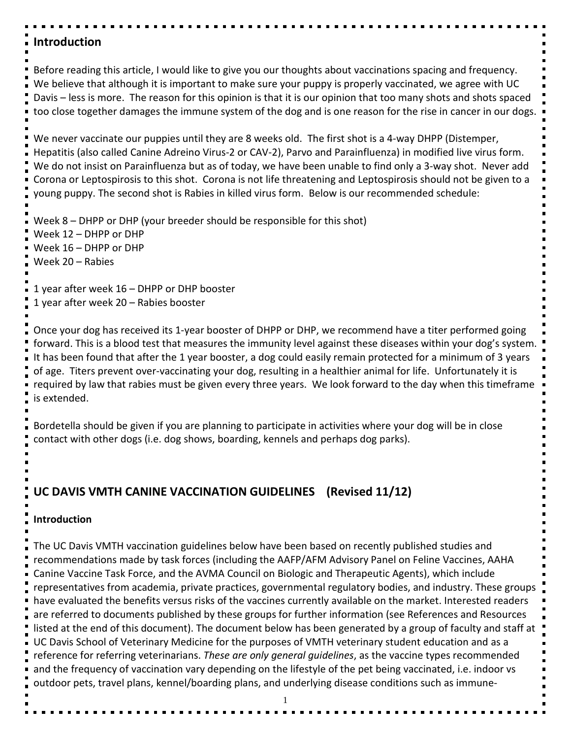# **Introduction**

Before reading this article, I would like to give you our thoughts about vaccinations spacing and frequency. We believe that although it is important to make sure your puppy is properly vaccinated, we agree with UC Davis – less is more. The reason for this opinion is that it is our opinion that too many shots and shots spaced too close together damages the immune system of the dog and is one reason for the rise in cancer in our dogs.

We never vaccinate our puppies until they are 8 weeks old. The first shot is a 4-way DHPP (Distemper, Hepatitis (also called Canine Adreino Virus-2 or CAV-2), Parvo and Parainfluenza) in modified live virus form. We do not insist on Parainfluenza but as of today, we have been unable to find only a 3-way shot. Never add Corona or Leptospirosis to this shot. Corona is not life threatening and Leptospirosis should not be given to a young puppy. The second shot is Rabies in killed virus form. Below is our recommended schedule:

Week 8 – DHPP or DHP (your breeder should be responsible for this shot)

Week 12 – DHPP or DHP

Week 16 – DHPP or DHP

Week 20 – Rabies

1 year after week 16 – DHPP or DHP booster

1 year after week 20 – Rabies booster

Once your dog has received its 1-year booster of DHPP or DHP, we recommend have a titer performed going forward. This is a blood test that measures the immunity level against these diseases within your dog's system. It has been found that after the 1 year booster, a dog could easily remain protected for a minimum of 3 years of age. Titers prevent over-vaccinating your dog, resulting in a healthier animal for life. Unfortunately it is required by law that rabies must be given every three years. We look forward to the day when this timeframe is extended.

Bordetella should be given if you are planning to participate in activities where your dog will be in close contact with other dogs (i.e. dog shows, boarding, kennels and perhaps dog parks).

# **UC DAVIS VMTH CANINE VACCINATION GUIDELINES (Revised 11/12)**

# **Introduction**

The UC Davis VMTH vaccination guidelines below have been based on recently published studies and recommendations made by task forces (including the AAFP/AFM Advisory Panel on Feline Vaccines, AAHA Canine Vaccine Task Force, and the AVMA Council on Biologic and Therapeutic Agents), which include representatives from academia, private practices, governmental regulatory bodies, and industry. These groups have evaluated the benefits versus risks of the vaccines currently available on the market. Interested readers are referred to documents published by these groups for further information (see References and Resources listed at the end of this document). The document below has been generated by a group of faculty and staff at UC Davis School of Veterinary Medicine for the purposes of VMTH veterinary student education and as a reference for referring veterinarians. *These are only general guidelines*, as the vaccine types recommended and the frequency of vaccination vary depending on the lifestyle of the pet being vaccinated, i.e. indoor vs outdoor pets, travel plans, kennel/boarding plans, and underlying disease conditions such as immune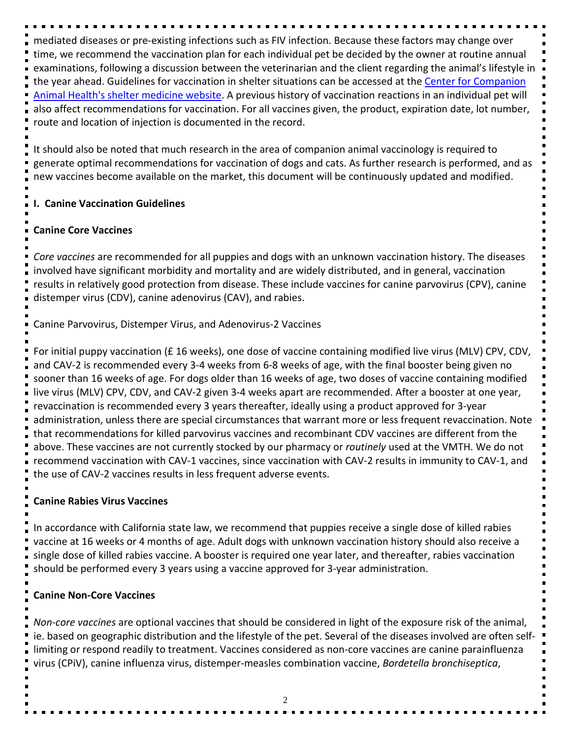mediated diseases or pre-existing infections such as FIV infection. Because these factors may change over time, we recommend the vaccination plan for each individual pet be decided by the owner at routine annual examinations, following a discussion between the veterinarian and the client regarding the animal's lifestyle in the year ahead. Guidelines for vaccination in shelter situations can be accessed at the Center for Companion [Animal Health's shelter medicine website.](http://www.sheltermedicine.com/portal/is_vaccination.shtml#top3) A previous history of vaccination reactions in an individual pet will also affect recommendations for vaccination. For all vaccines given, the product, expiration date, lot number, route and location of injection is documented in the record.

It should also be noted that much research in the area of companion animal vaccinology is required to generate optimal recommendations for vaccination of dogs and cats. As further research is performed, and as new vaccines become available on the market, this document will be continuously updated and modified.

# **I. Canine Vaccination Guidelines**

#### **Canine Core Vaccines**

*Core vaccines* are recommended for all puppies and dogs with an unknown vaccination history. The diseases involved have significant morbidity and mortality and are widely distributed, and in general, vaccination results in relatively good protection from disease. These include vaccines for canine parvovirus (CPV), canine distemper virus (CDV), canine adenovirus (CAV), and rabies.

Canine Parvovirus, Distemper Virus, and Adenovirus-2 Vaccines

For initial puppy vaccination (£ 16 weeks), one dose of vaccine containing modified live virus (MLV) CPV, CDV, and CAV-2 is recommended every 3-4 weeks from 6-8 weeks of age, with the final booster being given no sooner than 16 weeks of age. For dogs older than 16 weeks of age, two doses of vaccine containing modified live virus (MLV) CPV, CDV, and CAV-2 given 3-4 weeks apart are recommended. After a booster at one year, revaccination is recommended every 3 years thereafter, ideally using a product approved for 3-year administration, unless there are special circumstances that warrant more or less frequent revaccination. Note that recommendations for killed parvovirus vaccines and recombinant CDV vaccines are different from the above. These vaccines are not currently stocked by our pharmacy or *routinely* used at the VMTH. We do not recommend vaccination with CAV-1 vaccines, since vaccination with CAV-2 results in immunity to CAV-1, and the use of CAV-2 vaccines results in less frequent adverse events.

# **Canine Rabies Virus Vaccines**

In accordance with California state law, we recommend that puppies receive a single dose of killed rabies vaccine at 16 weeks or 4 months of age. Adult dogs with unknown vaccination history should also receive a single dose of killed rabies vaccine. A booster is required one year later, and thereafter, rabies vaccination should be performed every 3 years using a vaccine approved for 3-year administration.

# **Canine Non-Core Vaccines**

*Non-core vaccines* are optional vaccines that should be considered in light of the exposure risk of the animal, ie. based on geographic distribution and the lifestyle of the pet. Several of the diseases involved are often selflimiting or respond readily to treatment. Vaccines considered as non-core vaccines are canine parainfluenza virus (CPiV), canine influenza virus, distemper-measles combination vaccine, *Bordetella bronchiseptica*,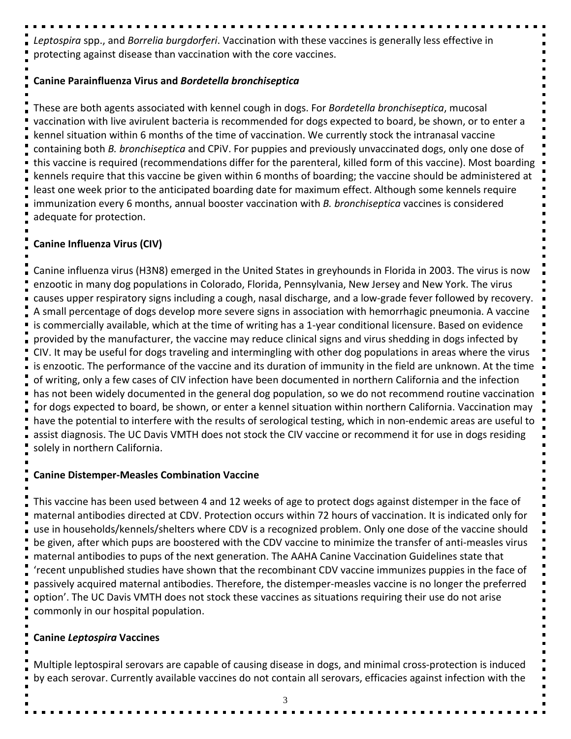*Leptospira* spp., and *Borrelia burgdorferi*. Vaccination with these vaccines is generally less effective in protecting against disease than vaccination with the core vaccines.

#### **Canine Parainfluenza Virus and** *Bordetella bronchiseptica*

These are both agents associated with kennel cough in dogs. For *Bordetella bronchiseptica*, mucosal vaccination with live avirulent bacteria is recommended for dogs expected to board, be shown, or to enter a kennel situation within 6 months of the time of vaccination. We currently stock the intranasal vaccine containing both *B. bronchiseptica* and CPiV. For puppies and previously unvaccinated dogs, only one dose of this vaccine is required (recommendations differ for the parenteral, killed form of this vaccine). Most boarding kennels require that this vaccine be given within 6 months of boarding; the vaccine should be administered at least one week prior to the anticipated boarding date for maximum effect. Although some kennels require immunization every 6 months, annual booster vaccination with *B. bronchiseptica* vaccines is considered adequate for protection.

# **Canine Influenza Virus (CIV)**

Canine influenza virus (H3N8) emerged in the United States in greyhounds in Florida in 2003. The virus is now enzootic in many dog populations in Colorado, Florida, Pennsylvania, New Jersey and New York. The virus causes upper respiratory signs including a cough, nasal discharge, and a low-grade fever followed by recovery. A small percentage of dogs develop more severe signs in association with hemorrhagic pneumonia. A vaccine is commercially available, which at the time of writing has a 1-year conditional licensure. Based on evidence provided by the manufacturer, the vaccine may reduce clinical signs and virus shedding in dogs infected by CIV. It may be useful for dogs traveling and intermingling with other dog populations in areas where the virus is enzootic. The performance of the vaccine and its duration of immunity in the field are unknown. At the time of writing, only a few cases of CIV infection have been documented in northern California and the infection has not been widely documented in the general dog population, so we do not recommend routine vaccination for dogs expected to board, be shown, or enter a kennel situation within northern California. Vaccination may have the potential to interfere with the results of serological testing, which in non-endemic areas are useful to assist diagnosis. The UC Davis VMTH does not stock the CIV vaccine or recommend it for use in dogs residing solely in northern California.

# **Canine Distemper-Measles Combination Vaccine**

This vaccine has been used between 4 and 12 weeks of age to protect dogs against distemper in the face of maternal antibodies directed at CDV. Protection occurs within 72 hours of vaccination. It is indicated only for use in households/kennels/shelters where CDV is a recognized problem. Only one dose of the vaccine should be given, after which pups are boostered with the CDV vaccine to minimize the transfer of anti-measles virus maternal antibodies to pups of the next generation. The AAHA Canine Vaccination Guidelines state that 'recent unpublished studies have shown that the recombinant CDV vaccine immunizes puppies in the face of passively acquired maternal antibodies. Therefore, the distemper-measles vaccine is no longer the preferred option'. The UC Davis VMTH does not stock these vaccines as situations requiring their use do not arise commonly in our hospital population.

#### **Canine** *Leptospira* **Vaccines**

Multiple leptospiral serovars are capable of causing disease in dogs, and minimal cross-protection is induced by each serovar. Currently available vaccines do not contain all serovars, efficacies against infection with the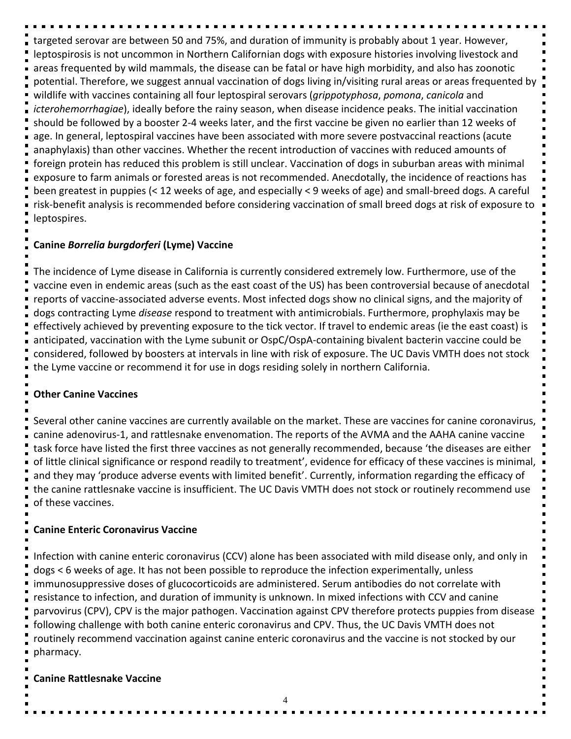targeted serovar are between 50 and 75%, and duration of immunity is probably about 1 year. However, leptospirosis is not uncommon in Northern Californian dogs with exposure histories involving livestock and areas frequented by wild mammals, the disease can be fatal or have high morbidity, and also has zoonotic potential. Therefore, we suggest annual vaccination of dogs living in/visiting rural areas or areas frequented by wildlife with vaccines containing all four leptospiral serovars (*grippotyphosa*, *pomona*, *canicola* and *icterohemorrhagiae*), ideally before the rainy season, when disease incidence peaks. The initial vaccination should be followed by a booster 2-4 weeks later, and the first vaccine be given no earlier than 12 weeks of age. In general, leptospiral vaccines have been associated with more severe postvaccinal reactions (acute anaphylaxis) than other vaccines. Whether the recent introduction of vaccines with reduced amounts of foreign protein has reduced this problem is still unclear. Vaccination of dogs in suburban areas with minimal exposure to farm animals or forested areas is not recommended. Anecdotally, the incidence of reactions has been greatest in puppies (< 12 weeks of age, and especially < 9 weeks of age) and small-breed dogs. A careful risk-benefit analysis is recommended before considering vaccination of small breed dogs at risk of exposure to leptospires.

#### **Canine** *Borrelia burgdorferi* **(Lyme) Vaccine**

The incidence of Lyme disease in California is currently considered extremely low. Furthermore, use of the vaccine even in endemic areas (such as the east coast of the US) has been controversial because of anecdotal reports of vaccine-associated adverse events. Most infected dogs show no clinical signs, and the majority of dogs contracting Lyme *disease* respond to treatment with antimicrobials. Furthermore, prophylaxis may be effectively achieved by preventing exposure to the tick vector. If travel to endemic areas (ie the east coast) is anticipated, vaccination with the Lyme subunit or OspC/OspA-containing bivalent bacterin vaccine could be considered, followed by boosters at intervals in line with risk of exposure. The UC Davis VMTH does not stock the Lyme vaccine or recommend it for use in dogs residing solely in northern California.

#### **Other Canine Vaccines**

Several other canine vaccines are currently available on the market. These are vaccines for canine coronavirus, canine adenovirus-1, and rattlesnake envenomation. The reports of the AVMA and the AAHA canine vaccine task force have listed the first three vaccines as not generally recommended, because 'the diseases are either of little clinical significance or respond readily to treatment', evidence for efficacy of these vaccines is minimal, and they may 'produce adverse events with limited benefit'. Currently, information regarding the efficacy of the canine rattlesnake vaccine is insufficient. The UC Davis VMTH does not stock or routinely recommend use of these vaccines.

# **Canine Enteric Coronavirus Vaccine**

Infection with canine enteric coronavirus (CCV) alone has been associated with mild disease only, and only in dogs < 6 weeks of age. It has not been possible to reproduce the infection experimentally, unless immunosuppressive doses of glucocorticoids are administered. Serum antibodies do not correlate with resistance to infection, and duration of immunity is unknown. In mixed infections with CCV and canine parvovirus (CPV), CPV is the major pathogen. Vaccination against CPV therefore protects puppies from disease following challenge with both canine enteric coronavirus and CPV. Thus, the UC Davis VMTH does not routinely recommend vaccination against canine enteric coronavirus and the vaccine is not stocked by our pharmacy.

#### **Canine Rattlesnake Vaccine**